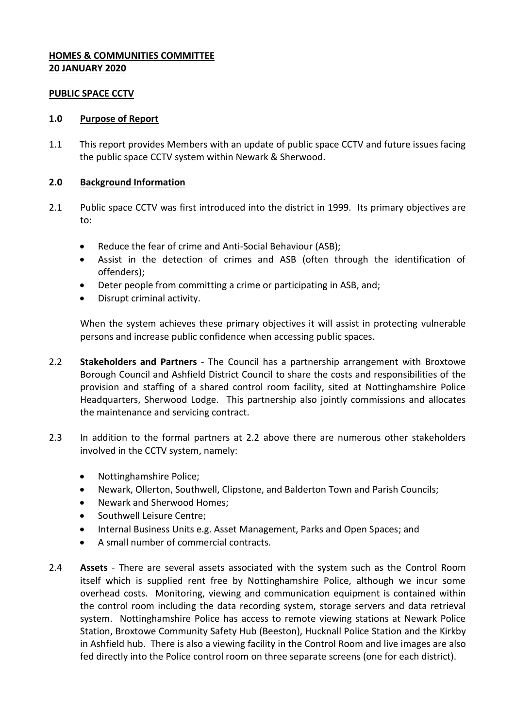## **HOMES & COMMUNITIES COMMITTEE 20 JANUARY 2020**

#### **PUBLIC SPACE CCTV**

#### **1.0 Purpose of Report**

1.1 This report provides Members with an update of public space CCTV and future issues facing the public space CCTV system within Newark & Sherwood.

## **2.0 Background Information**

- 2.1 Public space CCTV was first introduced into the district in 1999. Its primary objectives are to:
	- Reduce the fear of crime and Anti-Social Behaviour (ASB);
	- Assist in the detection of crimes and ASB (often through the identification of offenders);
	- Deter people from committing a crime or participating in ASB, and;
	- Disrupt criminal activity.

When the system achieves these primary objectives it will assist in protecting vulnerable persons and increase public confidence when accessing public spaces.

- 2.2 **Stakeholders and Partners** The Council has a partnership arrangement with Broxtowe Borough Council and Ashfield District Council to share the costs and responsibilities of the provision and staffing of a shared control room facility, sited at Nottinghamshire Police Headquarters, Sherwood Lodge. This partnership also jointly commissions and allocates the maintenance and servicing contract.
- 2.3 In addition to the formal partners at 2.2 above there are numerous other stakeholders involved in the CCTV system, namely:
	- Nottinghamshire Police;
	- Newark, Ollerton, Southwell, Clipstone, and Balderton Town and Parish Councils;
	- Newark and Sherwood Homes;
	- Southwell Leisure Centre;
	- Internal Business Units e.g. Asset Management, Parks and Open Spaces; and
	- A small number of commercial contracts.
- 2.4 **Assets** There are several assets associated with the system such as the Control Room itself which is supplied rent free by Nottinghamshire Police, although we incur some overhead costs. Monitoring, viewing and communication equipment is contained within the control room including the data recording system, storage servers and data retrieval system. Nottinghamshire Police has access to remote viewing stations at Newark Police Station, Broxtowe Community Safety Hub (Beeston), Hucknall Police Station and the Kirkby in Ashfield hub. There is also a viewing facility in the Control Room and live images are also fed directly into the Police control room on three separate screens (one for each district).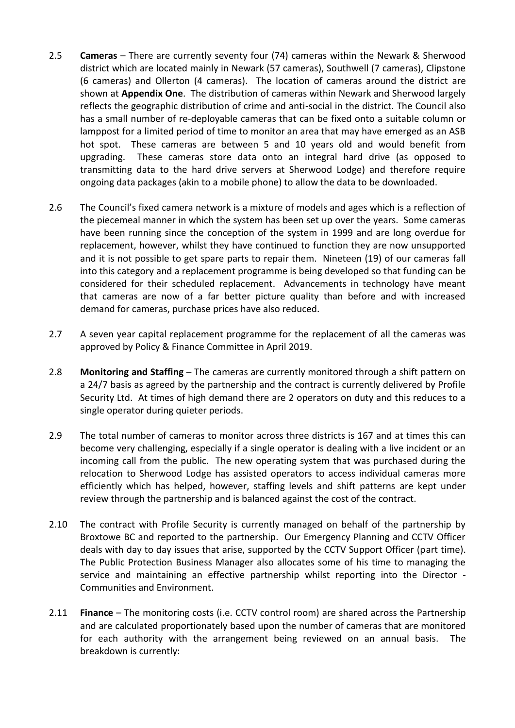- 2.5 **Cameras** There are currently seventy four (74) cameras within the Newark & Sherwood district which are located mainly in Newark (57 cameras), Southwell (7 cameras), Clipstone (6 cameras) and Ollerton (4 cameras). The location of cameras around the district are shown at **Appendix One**. The distribution of cameras within Newark and Sherwood largely reflects the geographic distribution of crime and anti-social in the district. The Council also has a small number of re-deployable cameras that can be fixed onto a suitable column or lamppost for a limited period of time to monitor an area that may have emerged as an ASB hot spot. These cameras are between 5 and 10 years old and would benefit from upgrading. These cameras store data onto an integral hard drive (as opposed to transmitting data to the hard drive servers at Sherwood Lodge) and therefore require ongoing data packages (akin to a mobile phone) to allow the data to be downloaded.
- 2.6 The Council's fixed camera network is a mixture of models and ages which is a reflection of the piecemeal manner in which the system has been set up over the years. Some cameras have been running since the conception of the system in 1999 and are long overdue for replacement, however, whilst they have continued to function they are now unsupported and it is not possible to get spare parts to repair them. Nineteen (19) of our cameras fall into this category and a replacement programme is being developed so that funding can be considered for their scheduled replacement. Advancements in technology have meant that cameras are now of a far better picture quality than before and with increased demand for cameras, purchase prices have also reduced.
- 2.7 A seven year capital replacement programme for the replacement of all the cameras was approved by Policy & Finance Committee in April 2019.
- 2.8 **Monitoring and Staffing** The cameras are currently monitored through a shift pattern on a 24/7 basis as agreed by the partnership and the contract is currently delivered by Profile Security Ltd. At times of high demand there are 2 operators on duty and this reduces to a single operator during quieter periods.
- 2.9 The total number of cameras to monitor across three districts is 167 and at times this can become very challenging, especially if a single operator is dealing with a live incident or an incoming call from the public. The new operating system that was purchased during the relocation to Sherwood Lodge has assisted operators to access individual cameras more efficiently which has helped, however, staffing levels and shift patterns are kept under review through the partnership and is balanced against the cost of the contract.
- 2.10 The contract with Profile Security is currently managed on behalf of the partnership by Broxtowe BC and reported to the partnership. Our Emergency Planning and CCTV Officer deals with day to day issues that arise, supported by the CCTV Support Officer (part time). The Public Protection Business Manager also allocates some of his time to managing the service and maintaining an effective partnership whilst reporting into the Director - Communities and Environment.
- 2.11 **Finance** The monitoring costs (i.e. CCTV control room) are shared across the Partnership and are calculated proportionately based upon the number of cameras that are monitored for each authority with the arrangement being reviewed on an annual basis. The breakdown is currently: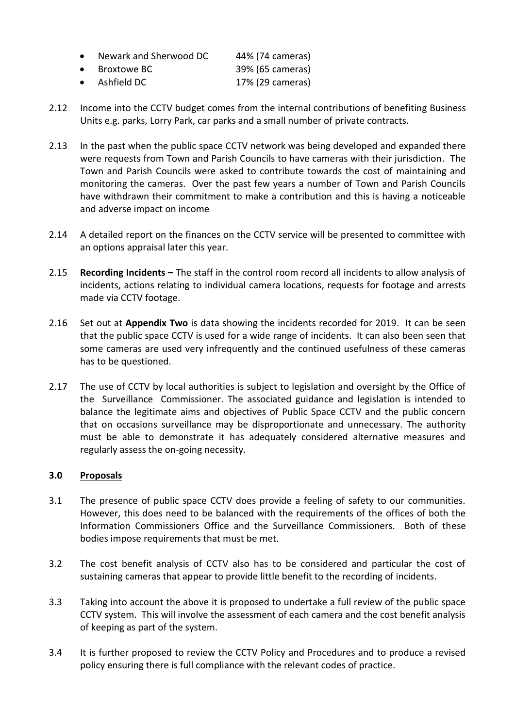| Newark and Sherwood DC | 44% (74 cameras) |
|------------------------|------------------|
|------------------------|------------------|

- Broxtowe BC 39% (65 cameras)
- Ashfield DC 17% (29 cameras)
- 2.12 Income into the CCTV budget comes from the internal contributions of benefiting Business Units e.g. parks, Lorry Park, car parks and a small number of private contracts.
- 2.13 In the past when the public space CCTV network was being developed and expanded there were requests from Town and Parish Councils to have cameras with their jurisdiction. The Town and Parish Councils were asked to contribute towards the cost of maintaining and monitoring the cameras. Over the past few years a number of Town and Parish Councils have withdrawn their commitment to make a contribution and this is having a noticeable and adverse impact on income
- 2.14 A detailed report on the finances on the CCTV service will be presented to committee with an options appraisal later this year.
- 2.15 **Recording Incidents –** The staff in the control room record all incidents to allow analysis of incidents, actions relating to individual camera locations, requests for footage and arrests made via CCTV footage.
- 2.16 Set out at **Appendix Two** is data showing the incidents recorded for 2019. It can be seen that the public space CCTV is used for a wide range of incidents. It can also been seen that some cameras are used very infrequently and the continued usefulness of these cameras has to be questioned.
- 2.17 The use of CCTV by local authorities is subject to legislation and oversight by the Office of the Surveillance Commissioner. The associated guidance and legislation is intended to balance the legitimate aims and objectives of Public Space CCTV and the public concern that on occasions surveillance may be disproportionate and unnecessary. The authority must be able to demonstrate it has adequately considered alternative measures and regularly assess the on-going necessity.

# **3.0 Proposals**

- 3.1 The presence of public space CCTV does provide a feeling of safety to our communities. However, this does need to be balanced with the requirements of the offices of both the Information Commissioners Office and the Surveillance Commissioners. Both of these bodies impose requirements that must be met.
- 3.2 The cost benefit analysis of CCTV also has to be considered and particular the cost of sustaining cameras that appear to provide little benefit to the recording of incidents.
- 3.3 Taking into account the above it is proposed to undertake a full review of the public space CCTV system. This will involve the assessment of each camera and the cost benefit analysis of keeping as part of the system.
- 3.4 It is further proposed to review the CCTV Policy and Procedures and to produce a revised policy ensuring there is full compliance with the relevant codes of practice.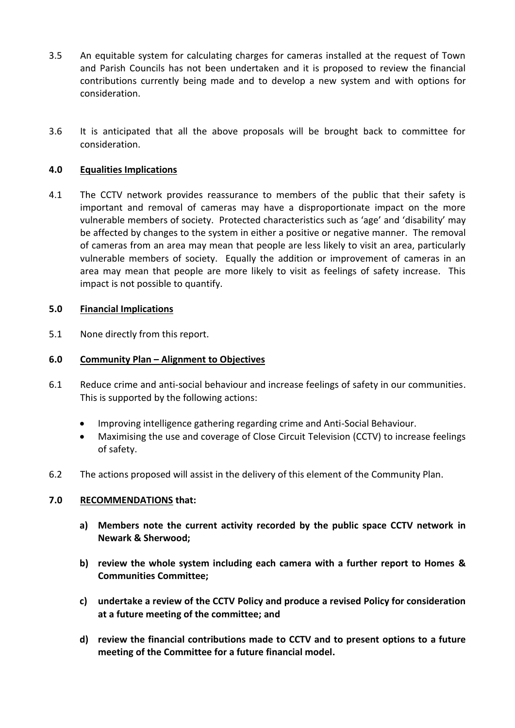- 3.5 An equitable system for calculating charges for cameras installed at the request of Town and Parish Councils has not been undertaken and it is proposed to review the financial contributions currently being made and to develop a new system and with options for consideration.
- 3.6 It is anticipated that all the above proposals will be brought back to committee for consideration.

# **4.0 Equalities Implications**

4.1 The CCTV network provides reassurance to members of the public that their safety is important and removal of cameras may have a disproportionate impact on the more vulnerable members of society. Protected characteristics such as 'age' and 'disability' may be affected by changes to the system in either a positive or negative manner. The removal of cameras from an area may mean that people are less likely to visit an area, particularly vulnerable members of society. Equally the addition or improvement of cameras in an area may mean that people are more likely to visit as feelings of safety increase. This impact is not possible to quantify.

## **5.0 Financial Implications**

5.1 None directly from this report.

## **6.0 Community Plan – Alignment to Objectives**

- 6.1 Reduce crime and anti-social behaviour and increase feelings of safety in our communities. This is supported by the following actions:
	- Improving intelligence gathering regarding crime and Anti-Social Behaviour.
	- Maximising the use and coverage of Close Circuit Television (CCTV) to increase feelings of safety.
- 6.2 The actions proposed will assist in the delivery of this element of the Community Plan.

## **7.0 RECOMMENDATIONS that:**

- **a) Members note the current activity recorded by the public space CCTV network in Newark & Sherwood;**
- **b) review the whole system including each camera with a further report to Homes & Communities Committee;**
- **c) undertake a review of the CCTV Policy and produce a revised Policy for consideration at a future meeting of the committee; and**
- **d) review the financial contributions made to CCTV and to present options to a future meeting of the Committee for a future financial model.**